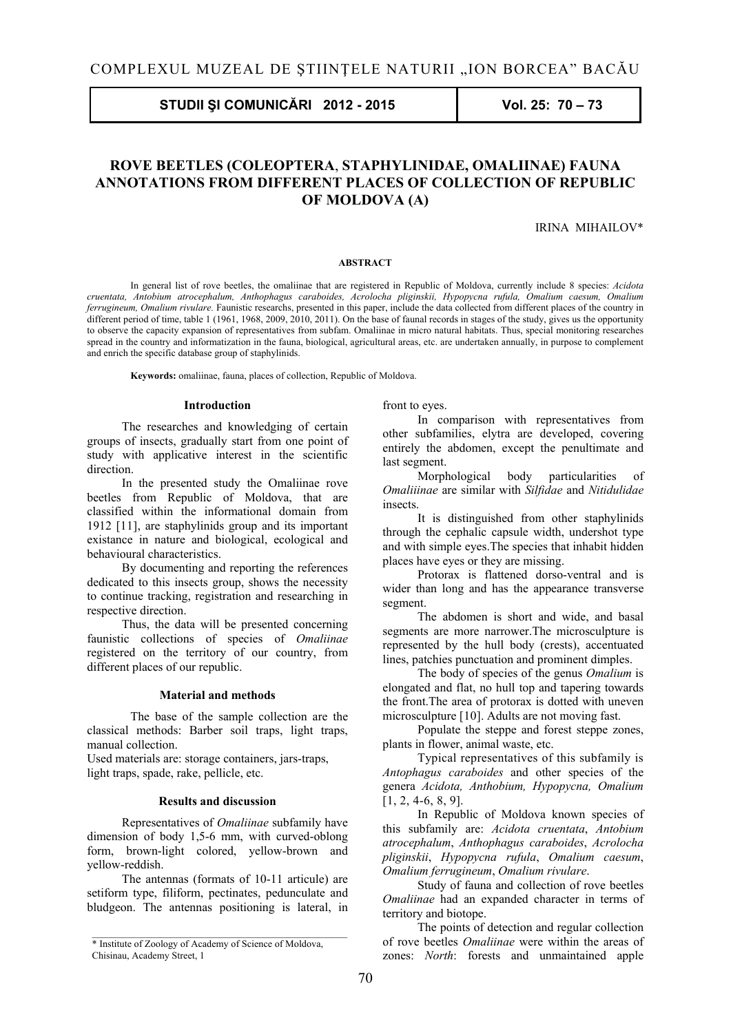# **STUDII ŞI COMUNICĂRI 2012 - 2015 Vol. 25: 70 – 73**

# **ROVE BEETLES (COLEOPTERA**, **STAPHYLINIDAE, OMALIINAE) FAUNA ANNOTATIONS FROM DIFFERENT PLACES OF COLLECTION OF REPUBLIC OF MOLDOVA (A)**

IRINA MIHAILOV\*

### **ABSTRACT**

 In general list of rove beetles, the omaliinae that are registered in Republic of Moldova, currently include 8 species: *Acidota cruentata, Antobium atrocephalum, Anthophagus caraboides, Acrolocha pliginskii, Hypopycna rufula, Omalium caesum, Omalium ferrugineum, Omalium rivulare.* Faunistic researchs, presented in this paper, include the data collected from different places of the country in different period of time, table 1 (1961, 1968, 2009, 2010, 2011). On the base of faunal records in stages of the study, gives us the opportunity to observe the capacity expansion of representatives from subfam. Omaliinae in micro natural habitats. Thus, special monitoring researches spread in the country and informatization in the fauna, biological, agricultural areas, etc. are undertaken annually, in purpose to complement and enrich the specific database group of staphylinids.

 **Keywords:** omaliinae, fauna, places of collection, Republic of Moldova.

#### **Introduction**

The researches and knowledging of certain groups of insects, gradually start from one point of study with applicative interest in the scientific direction.

In the presented study the Omaliinae rove beetles from Republic of Moldova, that are classified within the informational domain from 1912 [11], are staphylinids group and its important existance in nature and biological, ecological and behavioural characteristics.

By documenting and reporting the references dedicated to this insects group, shows the necessity to continue tracking, registration and researching in respective direction.

Thus, the data will be presented concerning faunistic collections of species of *Omaliinae* registered on the territory of our country, from different places of our republic.

#### **Material and methods**

 The base of the sample collection are the classical methods: Barber soil traps, light traps, manual collection.

Used materials are: storage containers, jars-traps, light traps, spade, rake, pellicle, etc.

### **Results and discussion**

Representatives of *Omaliinae* subfamily have dimension of body 1,5-6 mm, with curved-oblong form, brown-light colored, yellow-brown and yellow-reddish.

The antennas (formats of 10-11 articule) are setiform type, filiform, pectinates, pedunculate and bludgeon. The antennas positioning is lateral, in front to eyes.

In comparison with representatives from other subfamilies, elytra are developed, covering entirely the abdomen, except the penultimate and last segment.

Morphological body particularities of *Omaliiinae* are similar with *Silfidae* and *Nitidulidae* insects.

It is distinguished from other staphylinids through the cephalic capsule width, undershot type and with simple eyes.The species that inhabit hidden places have eyes or they are missing.

Protorax is flattened dorso-ventral and is wider than long and has the appearance transverse segment.

The abdomen is short and wide, and basal segments are more narrower.The microsculpture is represented by the hull body (crests), accentuated lines, patchies punctuation and prominent dimples.

The body of species of the genus *Omalium* is elongated and flat, no hull top and tapering towards the front.The area of protorax is dotted with uneven microsculpture [10]. Adults are not moving fast.

Populate the steppe and forest steppe zones, plants in flower, animal waste, etc.

Typical representatives of this subfamily is *Antophagus caraboides* and other species of the genera *Acidota, Anthobium, Hypopycna, Omalium* [1, 2, 4-6, 8, 9].

In Republic of Moldova known species of this subfamily are: *Acidota cruentata*, *Antobium atrocephalum*, *Anthophagus caraboides*, *Acrolocha pliginskii*, *Hypopycna rufula*, *Omalium caesum*, *Omalium ferrugineum*, *Omalium rivulare*.

Study of fauna and collection of rove beetles *Omaliinae* had an expanded character in terms of territory and biotope.

The points of detection and regular collection of rove beetles *Omaliinae* were within the areas of zones: *North*: forests and unmaintained apple

<sup>\*</sup> Institute of Zoology of Academy of Science of Moldova, Chisinau, Academy Street, 1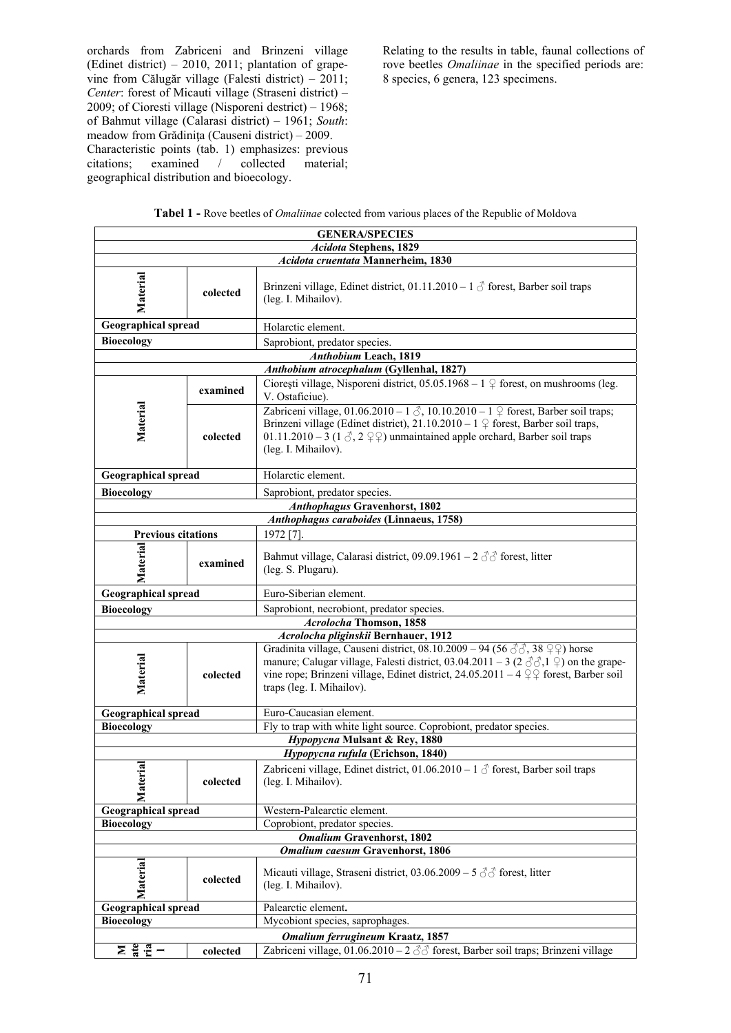orchards from Zabriceni and Brinzeni village (Edinet district) – 2010, 2011; plantation of grapevine from Călugăr village (Falesti district) – 2011; *Center*: forest of Micauti village (Straseni district) – 2009; of Cioresti village (Nisporeni destrict) – 1968; of Bahmut village (Calarasi district) – 1961; *South*: meadow from Grădiniţa (Causeni district) – 2009. Characteristic points (tab. 1) emphasizes: previous citations; examined / collected material; geographical distribution and bioecology.

Relating to the results in table, faunal collections of rove beetles *Omaliinae* in the specified periods are: 8 species, 6 genera, 123 specimens.

| <b>GENERA/SPECIES</b>                    |                                         |                                                                                                                                                                                                                                                                                                                                            |  |  |
|------------------------------------------|-----------------------------------------|--------------------------------------------------------------------------------------------------------------------------------------------------------------------------------------------------------------------------------------------------------------------------------------------------------------------------------------------|--|--|
| <b>Acidota Stephens, 1829</b>            |                                         |                                                                                                                                                                                                                                                                                                                                            |  |  |
| Acidota cruentata Mannerheim, 1830       |                                         |                                                                                                                                                                                                                                                                                                                                            |  |  |
| Material                                 | colected                                | Brinzeni village, Edinet district, 01.11.2010 – 1 $\circled{}$ forest, Barber soil traps<br>(leg. I. Mihailov).                                                                                                                                                                                                                            |  |  |
| Geographical spread                      |                                         | Holarctic element.                                                                                                                                                                                                                                                                                                                         |  |  |
| <b>Bioecology</b>                        |                                         | Saprobiont, predator species.                                                                                                                                                                                                                                                                                                              |  |  |
| <b>Anthobium Leach, 1819</b>             |                                         |                                                                                                                                                                                                                                                                                                                                            |  |  |
| Anthobium atrocephalum (Gyllenhal, 1827) |                                         |                                                                                                                                                                                                                                                                                                                                            |  |  |
|                                          | examined                                | Ciorești village, Nisporeni district, 05.05.1968 – 1 $\frac{1}{2}$ forest, on mushrooms (leg.<br>V. Ostaficiuc).                                                                                                                                                                                                                           |  |  |
| Material                                 | colected                                | Zabriceni village, $01.06.2010 - 1$ $\circled{}$ , $10.10.2010 - 1$ $\circled{}$ forest, Barber soil traps;<br>Brinzeni village (Edinet district), 21.10.2010 – $1 \nsubseteq$ forest, Barber soil traps,<br>01.11.2010 – 3 (1 $\Diamond$ , 2 $\Diamond$ $\Diamond$ ) unmaintained apple orchard, Barber soil traps<br>(leg. I. Mihailov). |  |  |
| <b>Geographical spread</b>               |                                         | Holarctic element.                                                                                                                                                                                                                                                                                                                         |  |  |
| <b>Bioecology</b>                        |                                         | Saprobiont, predator species.                                                                                                                                                                                                                                                                                                              |  |  |
|                                          |                                         | <b>Anthophagus Gravenhorst, 1802</b>                                                                                                                                                                                                                                                                                                       |  |  |
|                                          | Anthophagus caraboides (Linnaeus, 1758) |                                                                                                                                                                                                                                                                                                                                            |  |  |
| <b>Previous citations</b>                |                                         | 1972 [7].                                                                                                                                                                                                                                                                                                                                  |  |  |
| Material                                 | examined                                | Bahmut village, Calarasi district, 09.09.1961 – 2 $\Im$ forest, litter<br>(leg. S. Plugaru).                                                                                                                                                                                                                                               |  |  |
| <b>Geographical spread</b>               |                                         | Euro-Siberian element.                                                                                                                                                                                                                                                                                                                     |  |  |
| <b>Bioecology</b>                        |                                         | Saprobiont, necrobiont, predator species.                                                                                                                                                                                                                                                                                                  |  |  |
| Acrolocha Thomson, 1858                  |                                         |                                                                                                                                                                                                                                                                                                                                            |  |  |
|                                          |                                         | Acrolocha pliginskii Bernhauer, 1912                                                                                                                                                                                                                                                                                                       |  |  |
| Material                                 | colected                                | Gradinita village, Causeni district, 08.10.2009 – 94 (56 $\Im$ , 38 $\Im$ ) horse<br>manure; Calugar village, Falesti district, 03.04.2011 – 3 (2 $\Im$ $\Im$ , 1 $\Im$ ) on the grape-<br>vine rope; Brinzeni village, Edinet district, 24.05.2011 – 4 $\frac{9}{7}$ forest, Barber soil<br>traps (leg. I. Mihailov).                     |  |  |
| <b>Geographical spread</b>               |                                         | Euro-Caucasian element.                                                                                                                                                                                                                                                                                                                    |  |  |
| <b>Bioecology</b>                        |                                         | Fly to trap with white light source. Coprobiont, predator species.                                                                                                                                                                                                                                                                         |  |  |
| Hypopycna Mulsant & Rey, 1880            |                                         |                                                                                                                                                                                                                                                                                                                                            |  |  |
| Hypopycna rufula (Erichson, 1840)        |                                         |                                                                                                                                                                                                                                                                                                                                            |  |  |
| Material                                 | colected                                | Zabriceni village, Edinet district, 01.06.2010 - 1 $\delta$ forest, Barber soil traps<br>(leg. I. Mihailov).                                                                                                                                                                                                                               |  |  |
| <b>Geographical spread</b>               |                                         | Western-Palearctic element.                                                                                                                                                                                                                                                                                                                |  |  |
| <b>Bioecology</b>                        |                                         | Coprobiont, predator species.                                                                                                                                                                                                                                                                                                              |  |  |
|                                          |                                         | <b>Omalium Gravenhorst, 1802</b>                                                                                                                                                                                                                                                                                                           |  |  |
| <b>Omalium caesum Gravenhorst, 1806</b>  |                                         |                                                                                                                                                                                                                                                                                                                                            |  |  |
| Material                                 | colected                                | Micauti village, Straseni district, 03.06.2009 – 5 $\textcircled{2}$ forest, litter<br>(leg. I. Mihailov).                                                                                                                                                                                                                                 |  |  |
| <b>Geographical spread</b>               |                                         | Palearctic element.                                                                                                                                                                                                                                                                                                                        |  |  |
| <b>Bioecology</b>                        |                                         | Mycobiont species, saprophages.                                                                                                                                                                                                                                                                                                            |  |  |
| Omalium ferrugineum Kraatz, 1857         |                                         |                                                                                                                                                                                                                                                                                                                                            |  |  |
|                                          | colected                                | Zabriceni village, 01.06.2010 - 2 33 forest, Barber soil traps; Brinzeni village                                                                                                                                                                                                                                                           |  |  |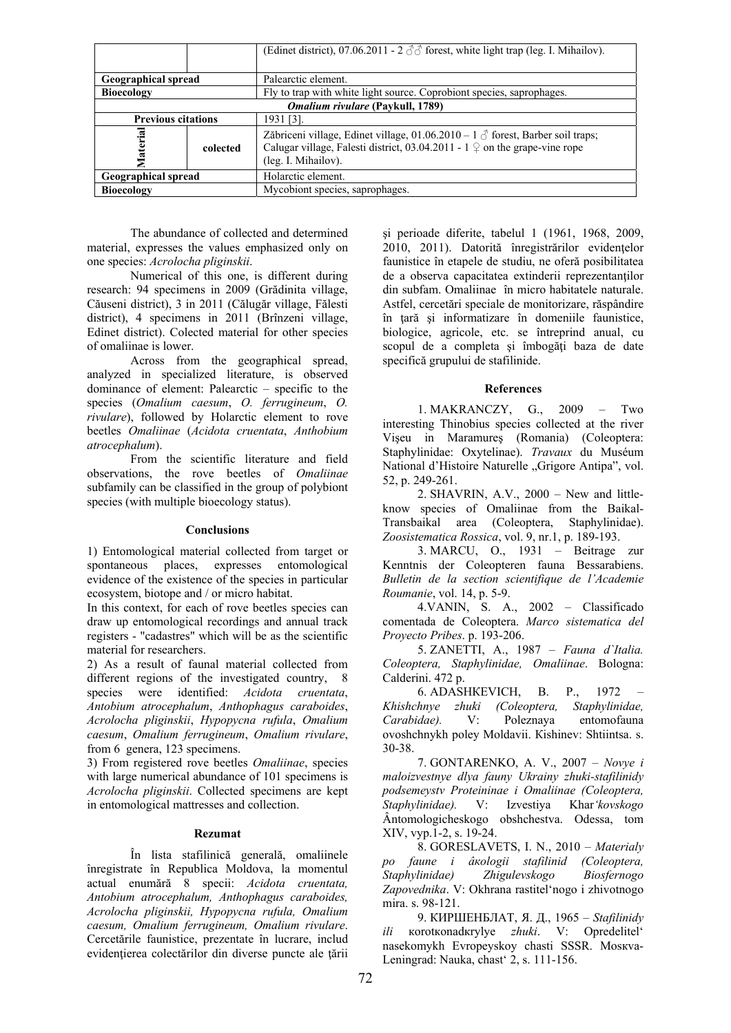|                                                |          | (Edinet district), 07.06.2011 - 2 $\textcircled{7}$ forest, white light trap (leg. I. Mihailov).                                                                                                            |  |  |
|------------------------------------------------|----------|-------------------------------------------------------------------------------------------------------------------------------------------------------------------------------------------------------------|--|--|
|                                                |          |                                                                                                                                                                                                             |  |  |
| <b>Geographical spread</b>                     |          | Palearctic element.                                                                                                                                                                                         |  |  |
| <b>Bioecology</b>                              |          | Fly to trap with white light source. Coprobiont species, saprophages.                                                                                                                                       |  |  |
| <i><b>Omalium rivulare (Paykull, 1789)</b></i> |          |                                                                                                                                                                                                             |  |  |
| <b>Previous citations</b>                      |          | 1931 [3].                                                                                                                                                                                                   |  |  |
| Material                                       | colected | Zăbriceni village, Edinet village, 01.06.2010 – 1 $\circ$ forest, Barber soil traps;<br>Calugar village, Falesti district, 03.04.2011 - $1 \nsubseteq \text{on the grape-vine rope}$<br>(leg. I. Mihailov). |  |  |
| <b>Geographical spread</b>                     |          | Holarctic element.                                                                                                                                                                                          |  |  |
| <b>Bioecology</b>                              |          | Mycobiont species, saprophages.                                                                                                                                                                             |  |  |

The abundance of collected and determined material, expresses the values emphasized only on one species: *Acrolocha pliginskii*.

Numerical of this one, is different during research: 94 specimens in 2009 (Grădinita village, Căuseni district), 3 in 2011 (Călugăr village, Fălesti district), 4 specimens in 2011 (Brînzeni village, Edinet district). Colected material for other species of omaliinae is lower.

Across from the geographical spread, analyzed in specialized literature, is observed dominance of element: Palearctic – specific to the species (*Omalium caesum*, *O. ferrugineum*, *O. rivulare*), followed by Holarctic element to rove beetles *Omaliinae* (*Acidota cruentata*, *Anthobium atrocephalum*).

From the scientific literature and field observations, the rove beetles of *Omaliinae* subfamily can be classified in the group of polybiont species (with multiple bioecology status).

#### **Conclusions**

1) Entomological material collected from target or spontaneous places, expresses entomological evidence of the existence of the species in particular ecosystem, biotope and / or micro habitat.

In this context, for each of rove beetles species can draw up entomological recordings and annual track registers - "cadastres" which will be as the scientific material for researchers.

2) As a result of faunal material collected from different regions of the investigated country, 8 species were identified: *Acidota cruentata*, *Antobium atrocephalum*, *Anthophagus caraboides*, *Acrolocha pliginskii*, *Hypopycna rufula*, *Omalium caesum*, *Omalium ferrugineum*, *Omalium rivulare*, from 6 genera, 123 specimens.

3) From registered rove beetles *Omaliinae*, species with large numerical abundance of 101 specimens is *Acrolocha pliginskii*. Collected specimens are kept in entomological mattresses and collection.

## **Rezumat**

 În lista stafilinică generală, omaliinele înregistrate în Republica Moldova, la momentul actual enumără 8 specii: *Acidota cruentata, Antobium atrocephalum, Anthophagus caraboides, Acrolocha pliginskii, Hypopycna rufula, Omalium caesum, Omalium ferrugineum, Omalium rivulare*. Cercetările faunistice, prezentate în lucrare, includ evidențierea colectărilor din diverse puncte ale țării şi perioade diferite, tabelul 1 (1961, 1968, 2009, 2010, 2011). Datorită înregistrărilor evidenţelor faunistice în etapele de studiu, ne oferă posibilitatea de a observa capacitatea extinderii reprezentanţilor din subfam. Omaliinae în micro habitatele naturale. Astfel, cercetări speciale de monitorizare, răspândire în tară și informatizare în domeniile faunistice, biologice, agricole, etc. se întreprind anual, cu scopul de a completa şi îmbogăţi baza de date specifică grupului de stafilinide.

### **References**

1. MAKRANCZY, G., 2009 – Two interesting Thinobius species collected at the river Vişeu in Maramureş (Romania) (Coleoptera: Staphylinidae: Oxytelinae). *Travaux* du Muséum National d'Histoire Naturelle "Grigore Antipa", vol. 52, p. 249-261.

2. SHAVRIN, A.V., 2000 – New and littleknow species of Omaliinae from the Baikal-Transbaikal area (Coleoptera, Staphylinidae). *Zoosistematica Rossica*, vol. 9, nr.1, p. 189-193.

3. MARCU, O., 1931 – Beitrage zur Kenntnis der Coleopteren fauna Bessarabiens. *Bulletin de la section scientifique de l'Academie Roumanie*, vol. 14, p. 5-9.

4.VANIN, S. A., 2002 – Classificado comentada de Coleoptera. *Marco sistematica del Proyecto Pribes*. p. 193-206.

5. ZANETTI, A., 1987 – *Fauna d`Italia. Coleoptera, Staphylinidae, Omaliinae*. Bologna: Calderini. 472 p.

6. АDASHКЕVICH, B. P., 1972 – *Khishchnye zhuki (Coleoptera, Staphylinidae, Carabidae).* V: Poleznaya entomofauna оvоshchnykh poley Моldavii. Кishinev: Shtiintsa. s. 30-38.

7. GONTARENKO, А. V., 2007 – *Novye i maloizvestnye dlya fauny Ukrainy zhuki-stafilinidy pоdsemeystv Proteininae i Omaliinae (Coleoptera, Staphylinidae).* V: Izvestiya Khar*'kovskogo* Ântomologicheskogo оbshchestva. Оdessa, tоm XIV, vyp.1-2, s. 19-24.

8. GORESLAVETS, I. N., 2010 – *Маtеrialy pо fаunе i âкоlogii stafilinid (Coleoptera, Staphylinidae) Zhigulevskogo Biosfernogo Zapovednika*. V: Оkhrana rastitel'nogo i zhivotnogo mira. s. 98-121.

9. КИРШЕНБЛАТ, Я. Д., 1965 – *Stafilinidy ili* коrоtкоnadкrylye *zhuki*. V: Оpredelitel' nasekomykh Evropeyskoy chasti SSSR. Моsкvа-Leningrad: Nauka, chast' 2, s. 111-156.